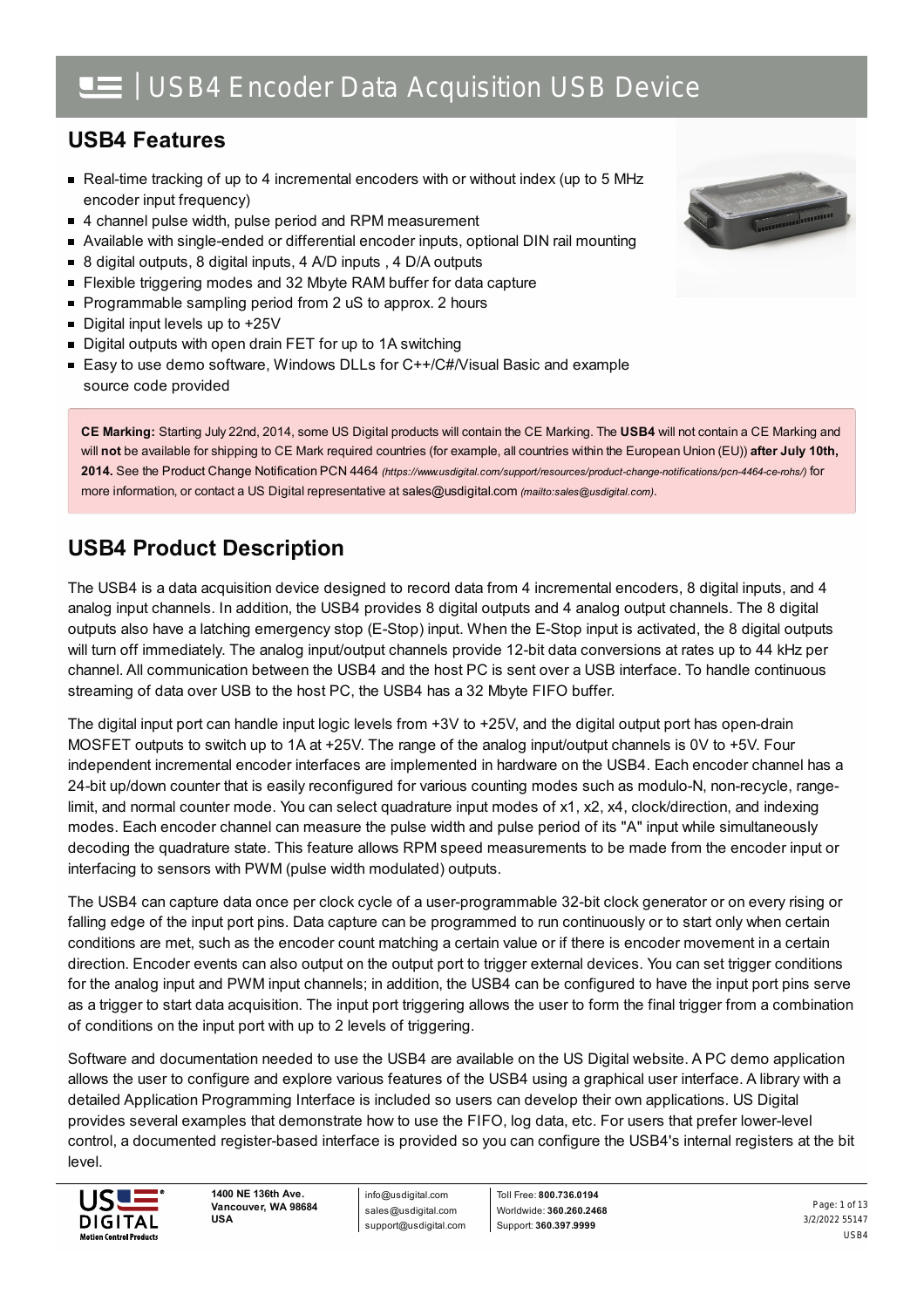## **USB4 Features**

- Real-time tracking of up to 4 incremental encoders with or without index (up to 5 MHz encoder input frequency)
- 4 channel pulse width, pulse period and RPM measurement
- Available with single-ended or differential encoder inputs, optional DIN rail mounting  $\blacksquare$
- 8 digital outputs, 8 digital inputs, 4 A/D inputs , 4 D/A outputs  $\blacksquare$
- $\blacksquare$ Flexible triggering modes and 32 Mbyte RAM buffer for data capture
- **Programmable sampling period from 2 uS to approx. 2 hours**
- Digital input levels up to +25V
- Digital outputs with open drain FET for up to 1A switching
- Easy to use demo software, Windows DLLs for C++/C#/Visual Basic and example source code provided

**CE Marking:** Starting July 22nd, 2014, some US Digital products will contain the CE Marking. The **USB4** will not contain a CE Marking and will **not** be available for shipping to CE Mark required countries (for example, all countries within the European Union (EU)) **after July 10th, 2014.** See the Product Change Notification PCN 4464 *[\(https://www.usdigital.com/support/resources/product-change-notifications/pcn-4464-ce-rohs/\)](https://www.usdigital.com/support/resources/product-change-notifications/pcn-4464-ce-rohs/)* for more information, or contact a US Digital representative at [sales@usdigital.com](mailto:sales@usdigital.com) *(mailto:sales@usdigital.com)*.

## **USB4 Product Description**

The USB4 is a data acquisition device designed to record data from 4 incremental encoders, 8 digital inputs, and 4 analog input channels. In addition, the USB4 provides 8 digital outputs and 4 analog output channels. The 8 digital outputs also have a latching emergency stop (E-Stop) input. When the E-Stop input is activated, the 8 digital outputs will turn off immediately. The analog input/output channels provide 12-bit data conversions at rates up to 44 kHz per channel. All communication between the USB4 and the host PC is sent over a USB interface. To handle continuous streaming of data over USB to the host PC, the USB4 has a 32 Mbyte FIFO buffer.

The digital input port can handle input logic levels from +3V to +25V, and the digital output port has open-drain MOSFET outputs to switch up to 1A at +25V. The range of the analog input/output channels is 0V to +5V. Four independent incremental encoder interfaces are implemented in hardware on the USB4. Each encoder channel has a 24-bit up/down counter that is easily reconfigured for various counting modes such as modulo-N, non-recycle, rangelimit, and normal counter mode. You can select quadrature input modes of x1, x2, x4, clock/direction, and indexing modes. Each encoder channel can measure the pulse width and pulse period of its "A" input while simultaneously decoding the quadrature state. This feature allows RPM speed measurements to be made from the encoder input or interfacing to sensors with PWM (pulse width modulated) outputs.

The USB4 can capture data once per clock cycle of a user-programmable 32-bit clock generator or on every rising or falling edge of the input port pins. Data capture can be programmed to run continuously or to start only when certain conditions are met, such as the encoder count matching a certain value or if there is encoder movement in a certain direction. Encoder events can also output on the output port to trigger external devices. You can set trigger conditions for the analog input and PWM input channels; in addition, the USB4 can be configured to have the input port pins serve as a trigger to start data acquisition. The input port triggering allows the user to form the final trigger from a combination of conditions on the input port with up to 2 levels of triggering.

Software and documentation needed to use the USB4 are available on the US Digital website. A PC demo application allows the user to configure and explore various features of the USB4 using a graphical user interface. A library with a detailed Application Programming Interface is included so users can develop their own applications. US Digital provides several examples that demonstrate how to use the FIFO, log data, etc. For users that prefer lower-level control, a documented register-based interface is provided so you can configure the USB4's internal registers at the bit level.



**1400 NE 136th Ave. Vancouver, WA 98684 USA**

info@usdigital.com sales@usdigital.com support@usdigital.com

Toll Free: **800.736.0194** Worldwide: **360.260.2468** Support: **360.397.9999**

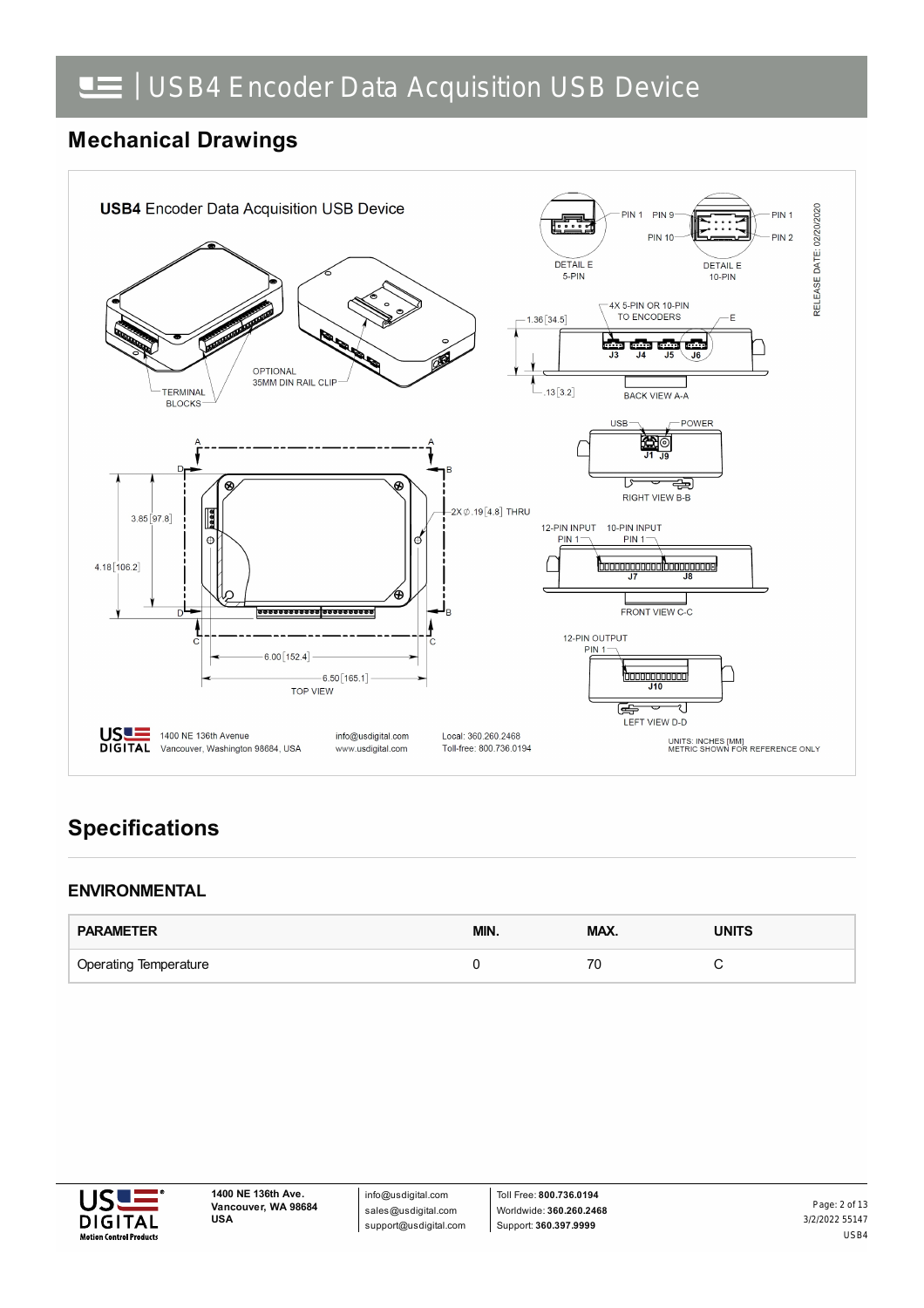## **Mechanical Drawings**



## **Specifications**

### **ENVIRONMENTAL**

| <b>PARAMETER</b>             | MIN. | MAX. | <b>UNITS</b> |
|------------------------------|------|------|--------------|
| <b>Operating Temperature</b> |      |      |              |



info@usdigital.com sales@usdigital.com support@usdigital.com

Toll Free: **800.736.0194** Worldwide: **360.260.2468** Support: **360.397.9999**

3/2/2022 55147 USB4 Page: 2 of 13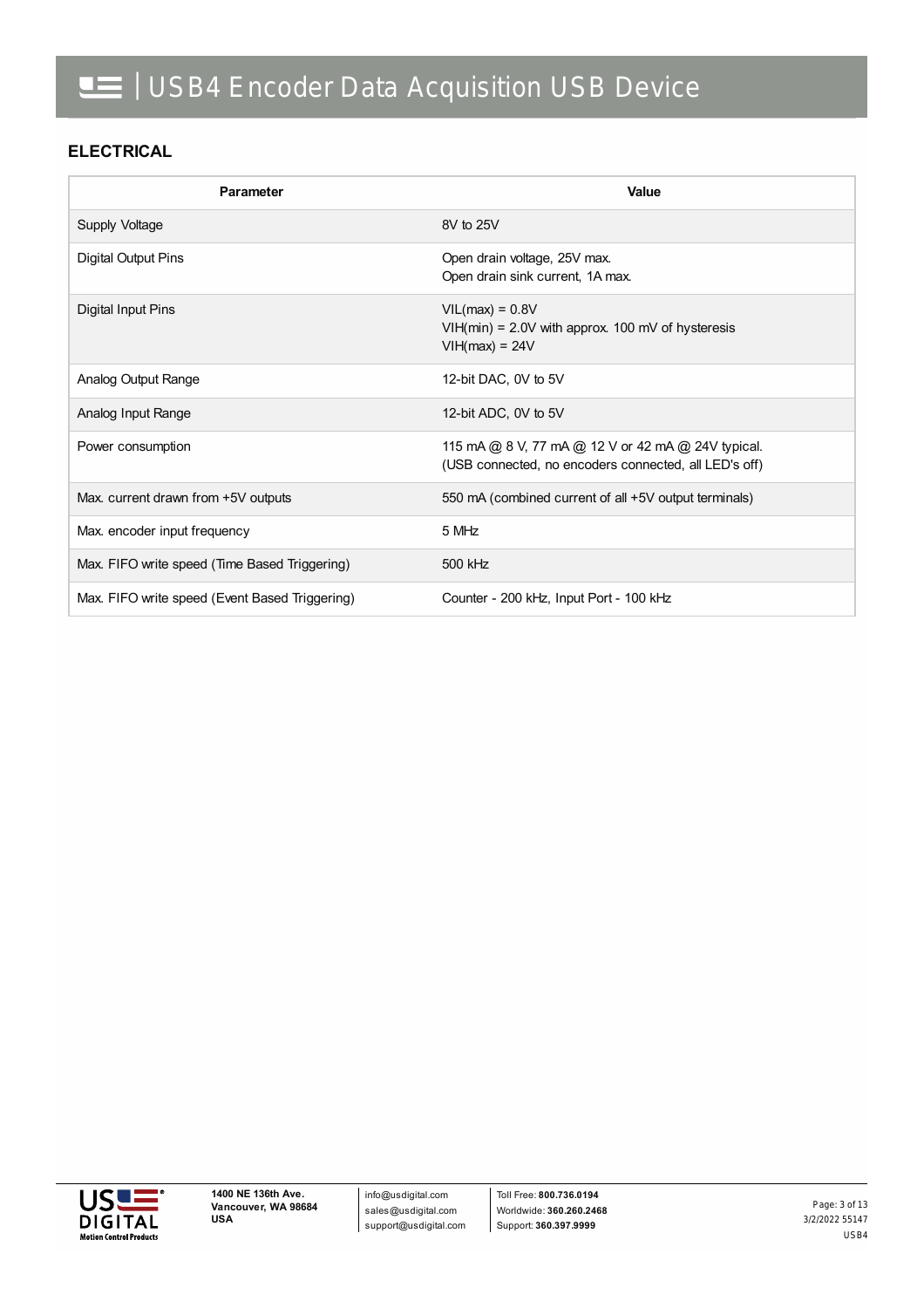#### **ELECTRICAL**

| Parameter                                      | Value                                                                                                       |
|------------------------------------------------|-------------------------------------------------------------------------------------------------------------|
| Supply Voltage                                 | 8V to 25V                                                                                                   |
| Digital Output Pins                            | Open drain voltage, 25V max.<br>Open drain sink current, 1A max.                                            |
| <b>Digital Input Pins</b>                      | $VIL(max) = 0.8V$<br>$VIH(min) = 2.0V$ with approx. 100 mV of hysteresis<br>$VIH(max) = 24V$                |
| Analog Output Range                            | 12-bit DAC, 0V to 5V                                                                                        |
| Analog Input Range                             | 12-bit ADC, 0V to 5V                                                                                        |
| Power consumption                              | 115 mA @ 8 V, 77 mA @ 12 V or 42 mA @ 24V typical.<br>(USB connected, no encoders connected, all LED's off) |
| Max. current drawn from +5V outputs            | 550 mA (combined current of all +5V output terminals)                                                       |
| Max. encoder input frequency                   | 5 MHz                                                                                                       |
| Max. FIFO write speed (Time Based Triggering)  | 500 kHz                                                                                                     |
| Max. FIFO write speed (Event Based Triggering) | Counter - 200 kHz, Input Port - 100 kHz                                                                     |

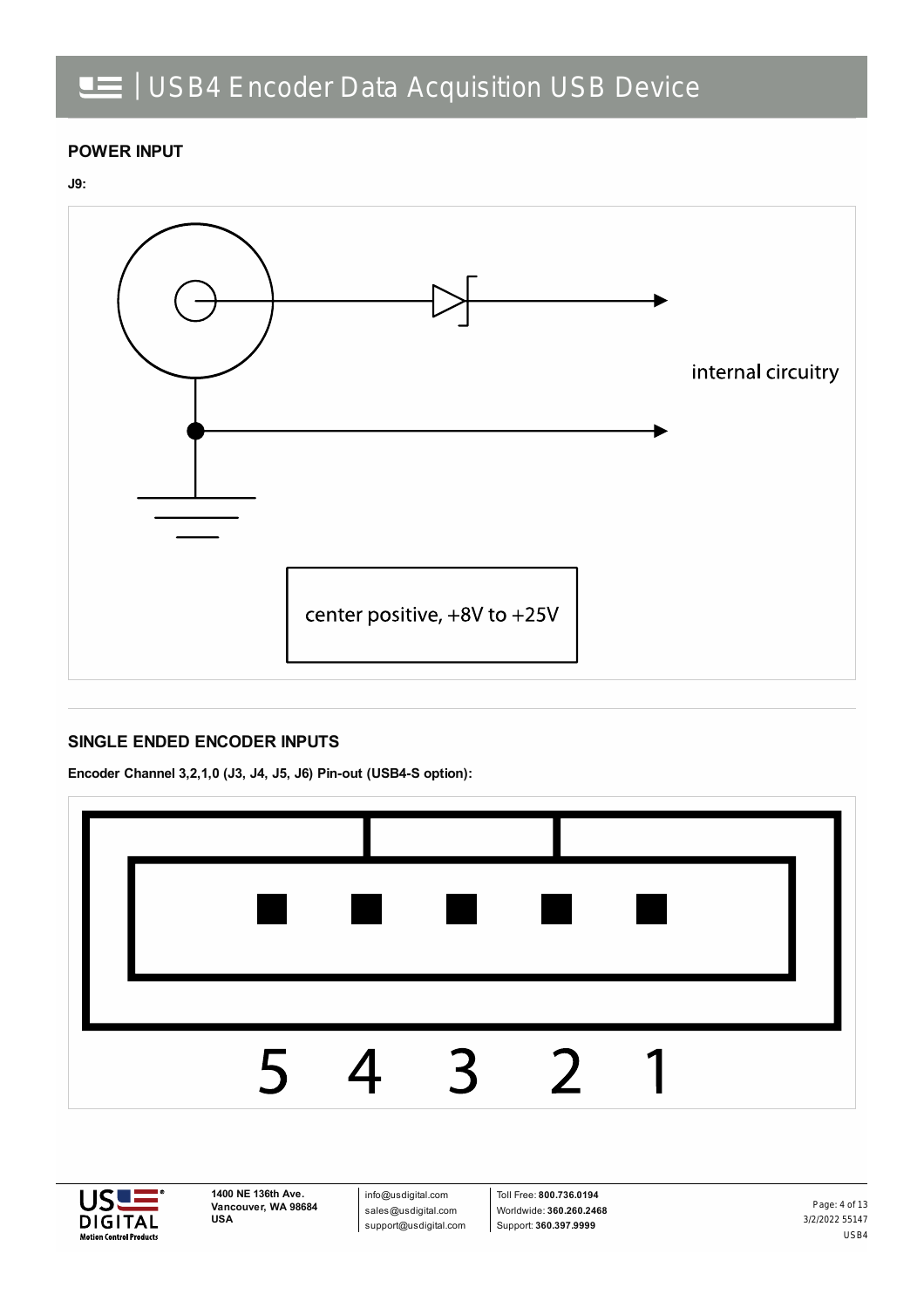### **POWER INPUT**





#### **SINGLE ENDED ENCODER INPUTS**

**Encoder Channel 3,2,1,0 (J3, J4, J5, J6) Pin-out (USB4-S option):**





**1400 NE 136th Ave. Vancouver, WA 98684 USA**

info@usdigital.com sales@usdigital.com support@usdigital.com

Toll Free: **800.736.0194** Worldwide: **360.260.2468** Support: **360.397.9999**

3/2/2022 55147 USB4 Page: 4 of 13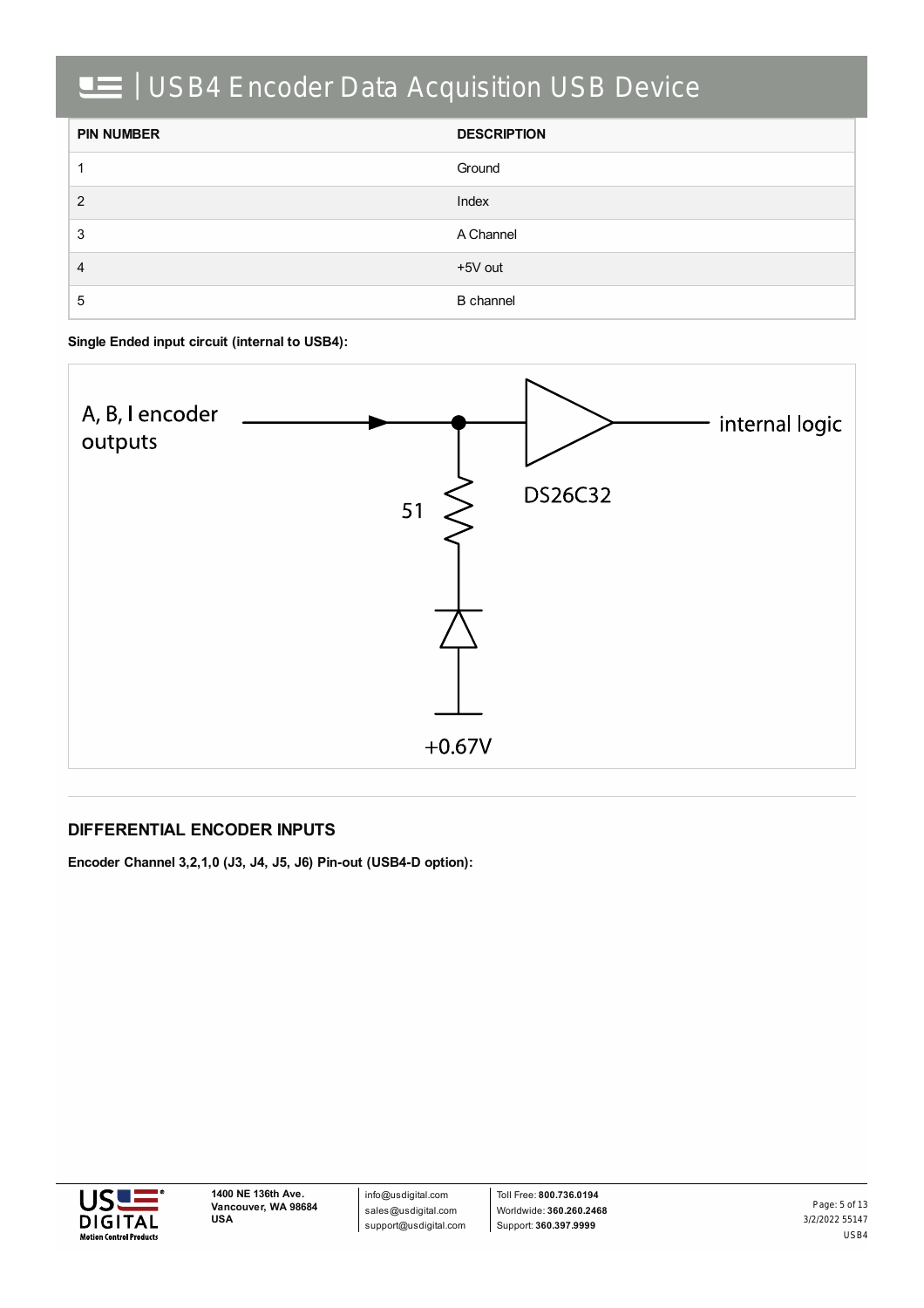| <b>PIN NUMBER</b> | <b>DESCRIPTION</b> |
|-------------------|--------------------|
|                   | Ground             |
| 2                 | Index              |
| 3                 | A Channel          |
| 4                 | +5V out            |
| 5                 | <b>B</b> channel   |

**Single Ended input circuit (internal to USB4):**



#### **DIFFERENTIAL ENCODER INPUTS**

**Encoder Channel 3,2,1,0 (J3, J4, J5, J6) Pin-out (USB4-D option):**



info@usdigital.com sales@usdigital.com support@usdigital.com

Toll Free: **800.736.0194** Worldwide: **360.260.2468** Support: **360.397.9999**

3/2/2022 55147 USB4 Page: 5 of 13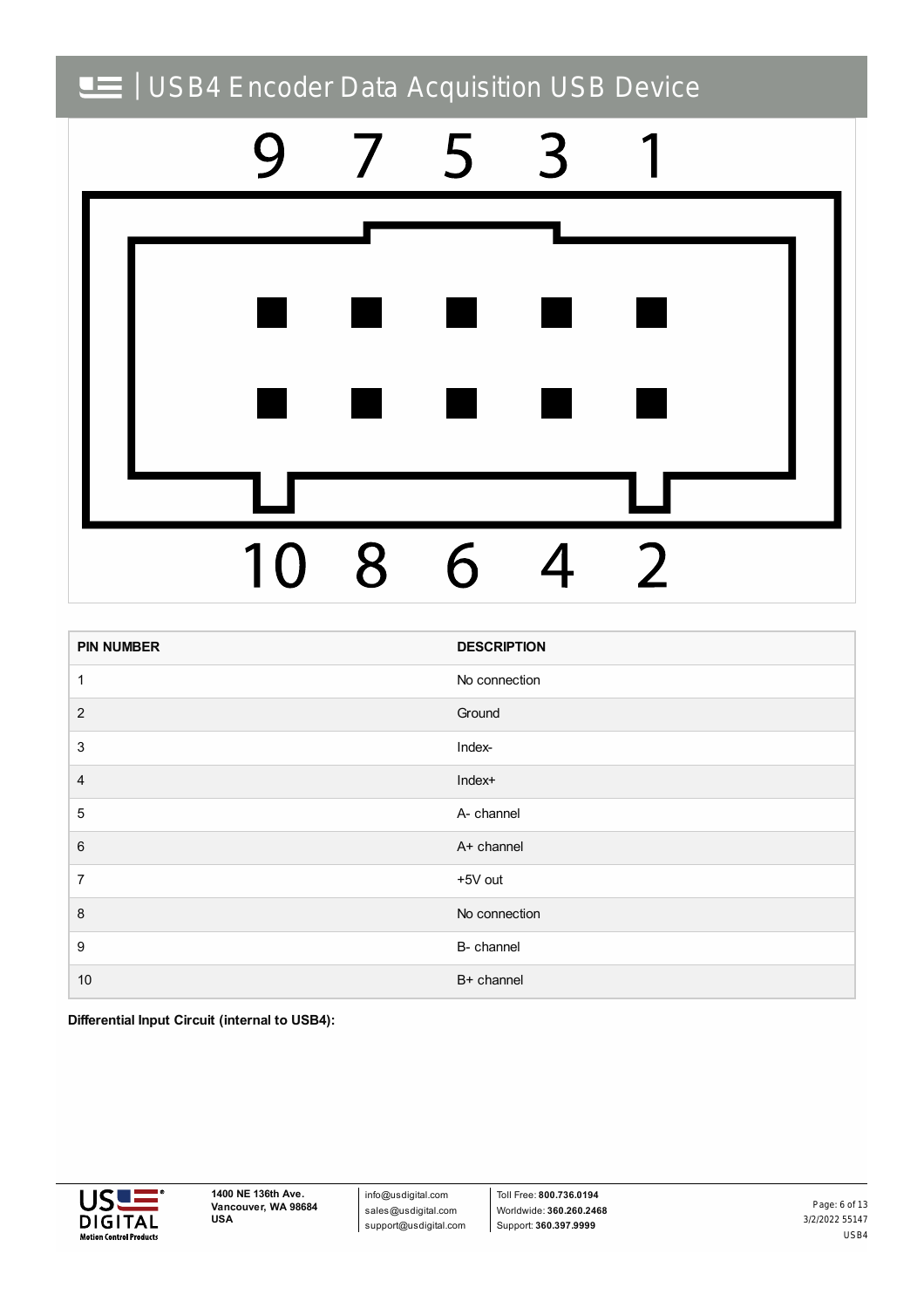

| <b>PIN NUMBER</b> | <b>DESCRIPTION</b> |
|-------------------|--------------------|
| 1                 | No connection      |
| $\overline{2}$    | Ground             |
| $\sqrt{3}$        | Index-             |
| $\overline{4}$    | Index+             |
| $\sqrt{5}$        | A- channel         |
| $\,6\,$           | A+ channel         |
| $\overline{7}$    | +5V out            |
| $\,8\,$           | No connection      |
| $\boldsymbol{9}$  | B- channel         |
| $10$              | B+ channel         |

**Differential Input Circuit (internal to USB4):**



info@usdigital.com sales@usdigital.com support@usdigital.com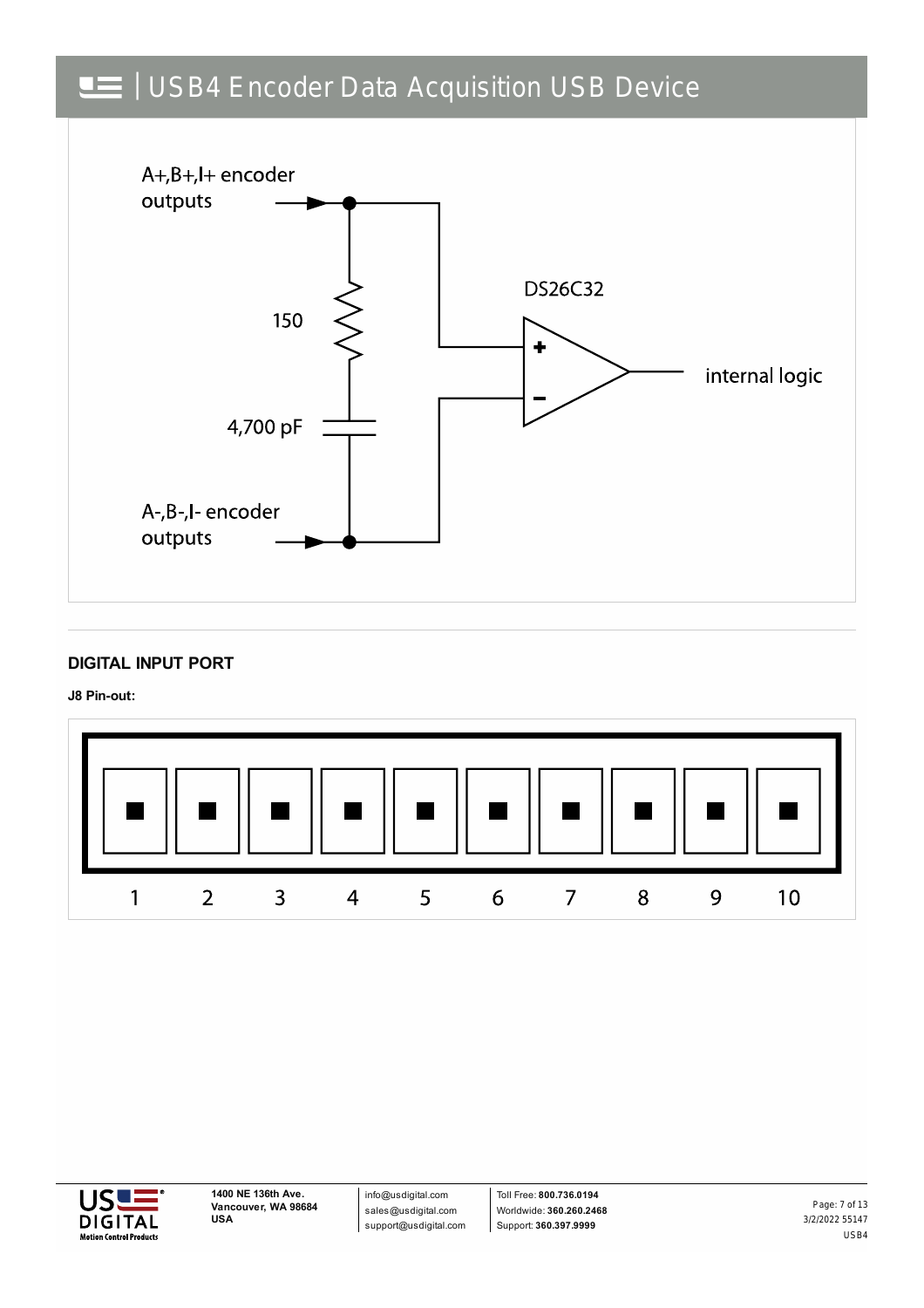

#### **DIGITAL INPUT PORT**

**J8 Pin-out:**





info@usdigital.com sales@usdigital.com support@usdigital.com

Toll Free: **800.736.0194** Worldwide: **360.260.2468** Support: **360.397.9999**

3/2/2022 55147 USB4 Page: 7 of 13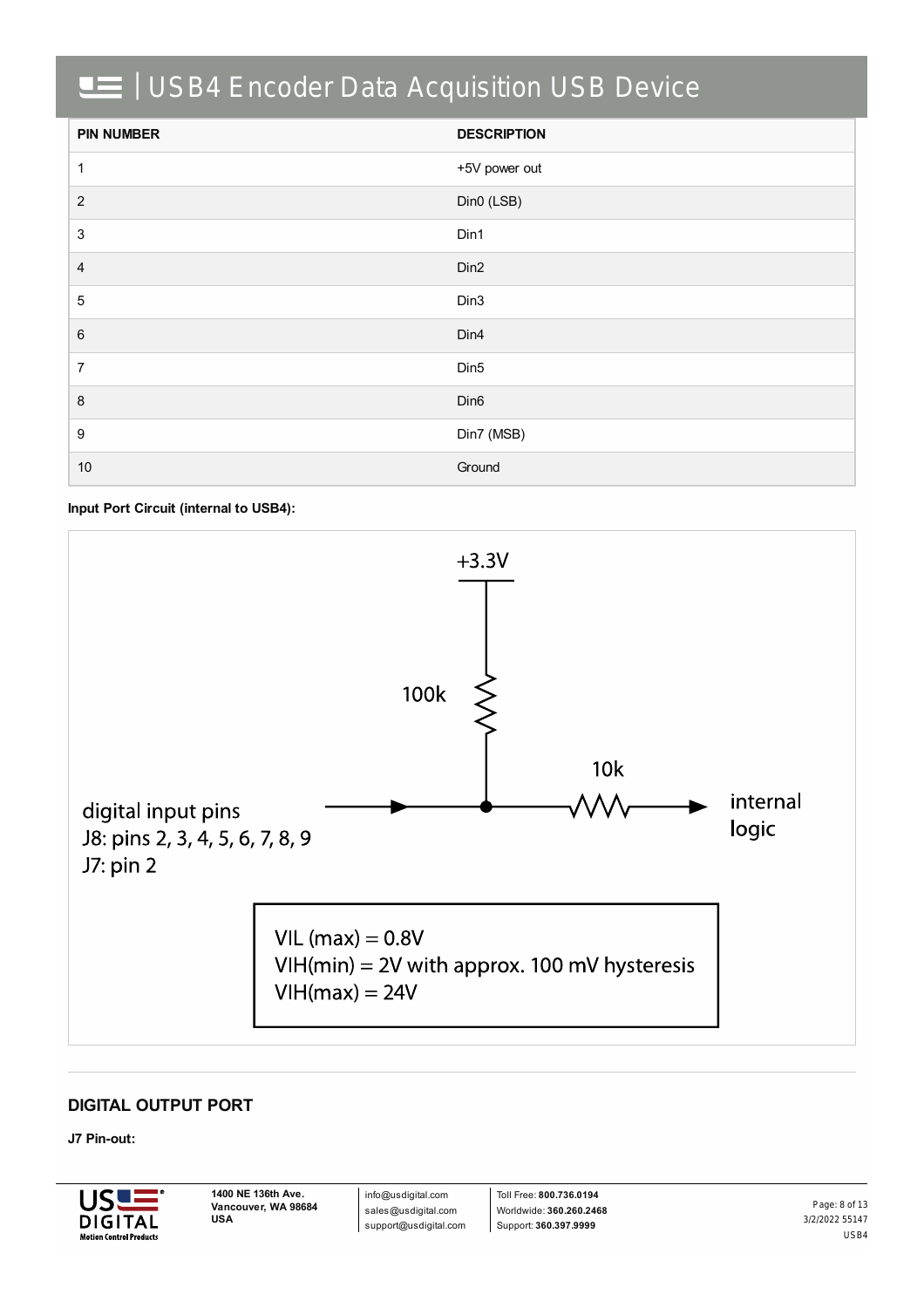| <b>PIN NUMBER</b> | <b>DESCRIPTION</b> |
|-------------------|--------------------|
| $\mathbf{1}$      | +5V power out      |
| 2                 | Din0 (LSB)         |
| $\sqrt{3}$        | Din1               |
| $\overline{4}$    | Din <sub>2</sub>   |
| $\,$ 5 $\,$       | Din3               |
| 6                 | Din4               |
| $\overline{7}$    | Din <sub>5</sub>   |
| $\,8\,$           | Din <sub>6</sub>   |
| $\boldsymbol{9}$  | Din7 (MSB)         |
| 10                | Ground             |

**Input Port Circuit (internal to USB4):**



### **DIGITAL OUTPUT PORT**

#### **J7 Pin-out:**



info@usdigital.com sales@usdigital.com support@usdigital.com

Toll Free: **800.736.0194** Worldwide: **360.260.2468** Support: **360.397.9999**

3/2/2022 55147 USB4 Page: 8 of 13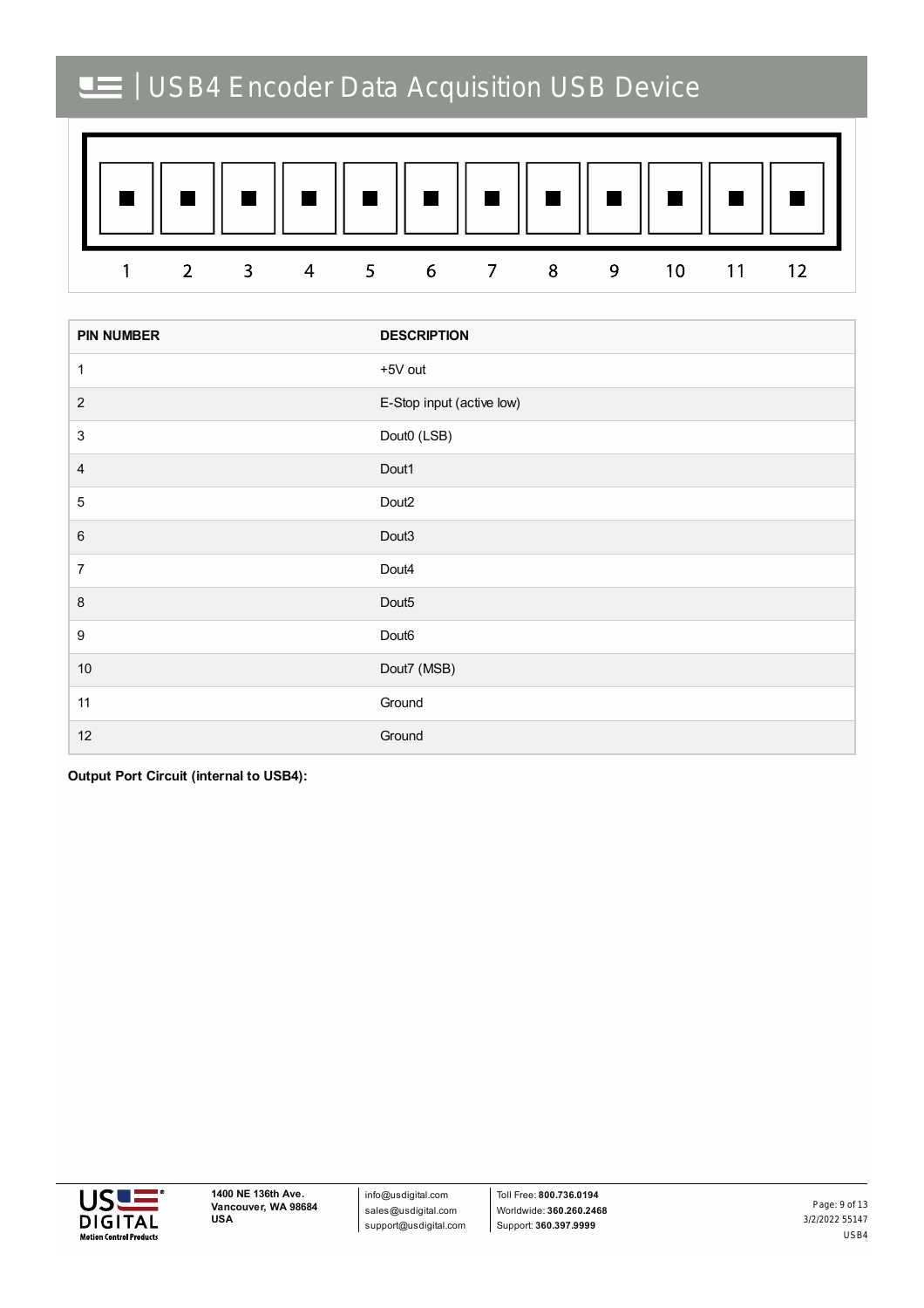

| <b>PIN NUMBER</b> | <b>DESCRIPTION</b>        |
|-------------------|---------------------------|
| 1                 | +5V out                   |
| $\sqrt{2}$        | E-Stop input (active low) |
| $\sqrt{3}$        | Dout0 (LSB)               |
| $\overline{4}$    | Dout1                     |
| $\mathbf 5$       | Dout <sub>2</sub>         |
| $\,6$             | Dout3                     |
| $\boldsymbol{7}$  | Dout4                     |
| $\, 8$            | Dout <sub>5</sub>         |
| 9                 | Dout <sub>6</sub>         |
| $10\,$            | Dout7 (MSB)               |
| 11                | Ground                    |
| 12                | Ground                    |

**Output Port Circuit (internal to USB4):**



info@usdigital.com sales@usdigital.com support@usdigital.com

3/2/2022 55147 USB4 Page: 9 of 13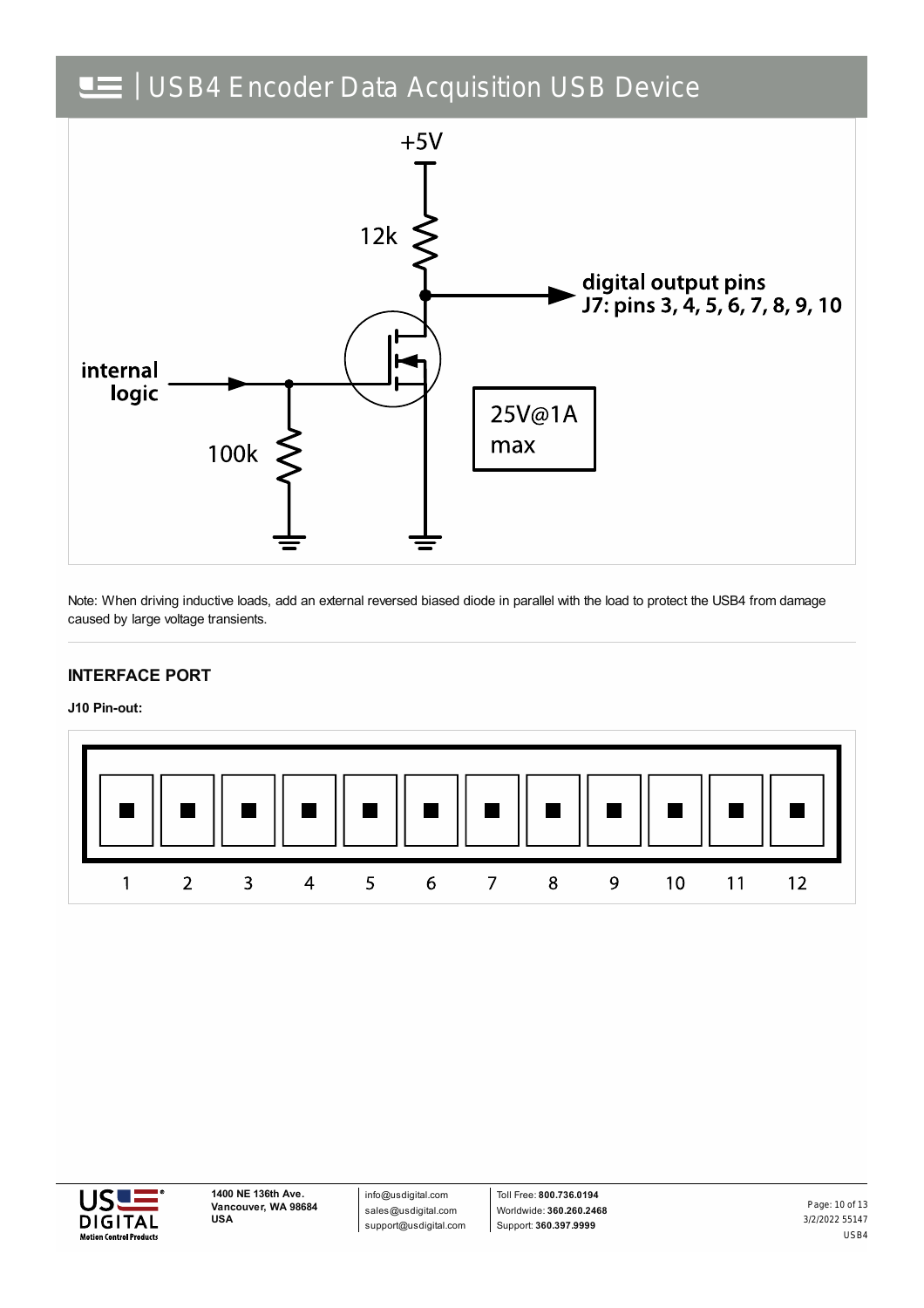

Note: When driving inductive loads, add an external reversed biased diode in parallel with the load to protect the USB4 from damage caused by large voltage transients.

### **INTERFACE PORT**

**J10 Pin-out:**





info@usdigital.com sales@usdigital.com support@usdigital.com

Toll Free: **800.736.0194** Worldwide: **360.260.2468** Support: **360.397.9999**

3/2/2022 55147 USB4 Page: 10 of 13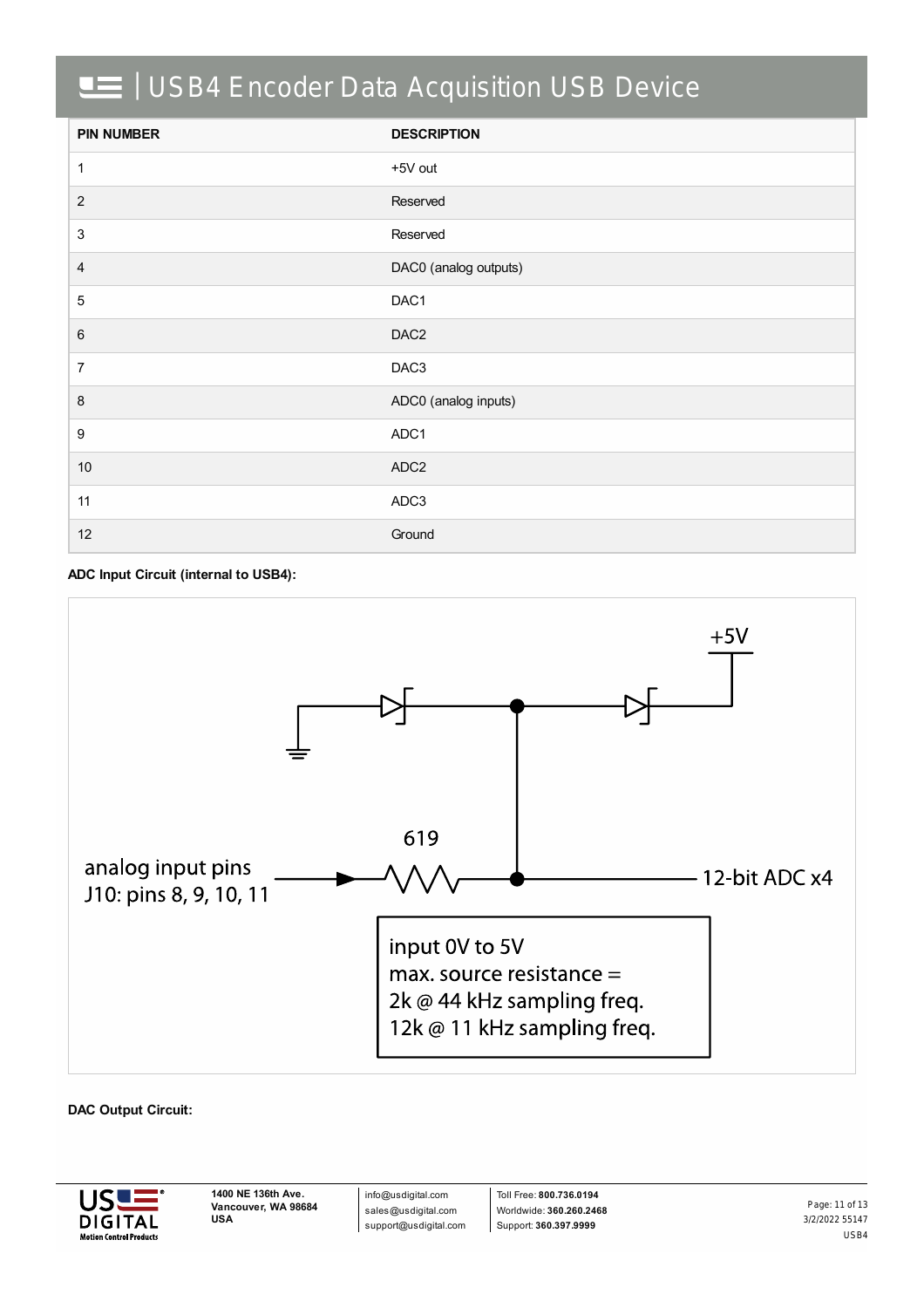| <b>PIN NUMBER</b> | <b>DESCRIPTION</b>    |
|-------------------|-----------------------|
| 1                 | +5V out               |
| $\sqrt{2}$        | Reserved              |
| 3                 | Reserved              |
| $\overline{4}$    | DAC0 (analog outputs) |
| $\overline{5}$    | DAC1                  |
| $\,6\,$           | DAC <sub>2</sub>      |
| $\overline{7}$    | DAC <sub>3</sub>      |
| 8                 | ADC0 (analog inputs)  |
| 9                 | ADC1                  |
| $10$              | ADC <sub>2</sub>      |
| 11                | ADC3                  |
| 12                | Ground                |

#### **ADC Input Circuit (internal to USB4):**



#### **DAC Output Circuit:**



info@usdigital.com sales@usdigital.com support@usdigital.com

Toll Free: **800.736.0194** Worldwide: **360.260.2468** Support: **360.397.9999**

3/2/2022 55147 USB4 Page: 11 of 13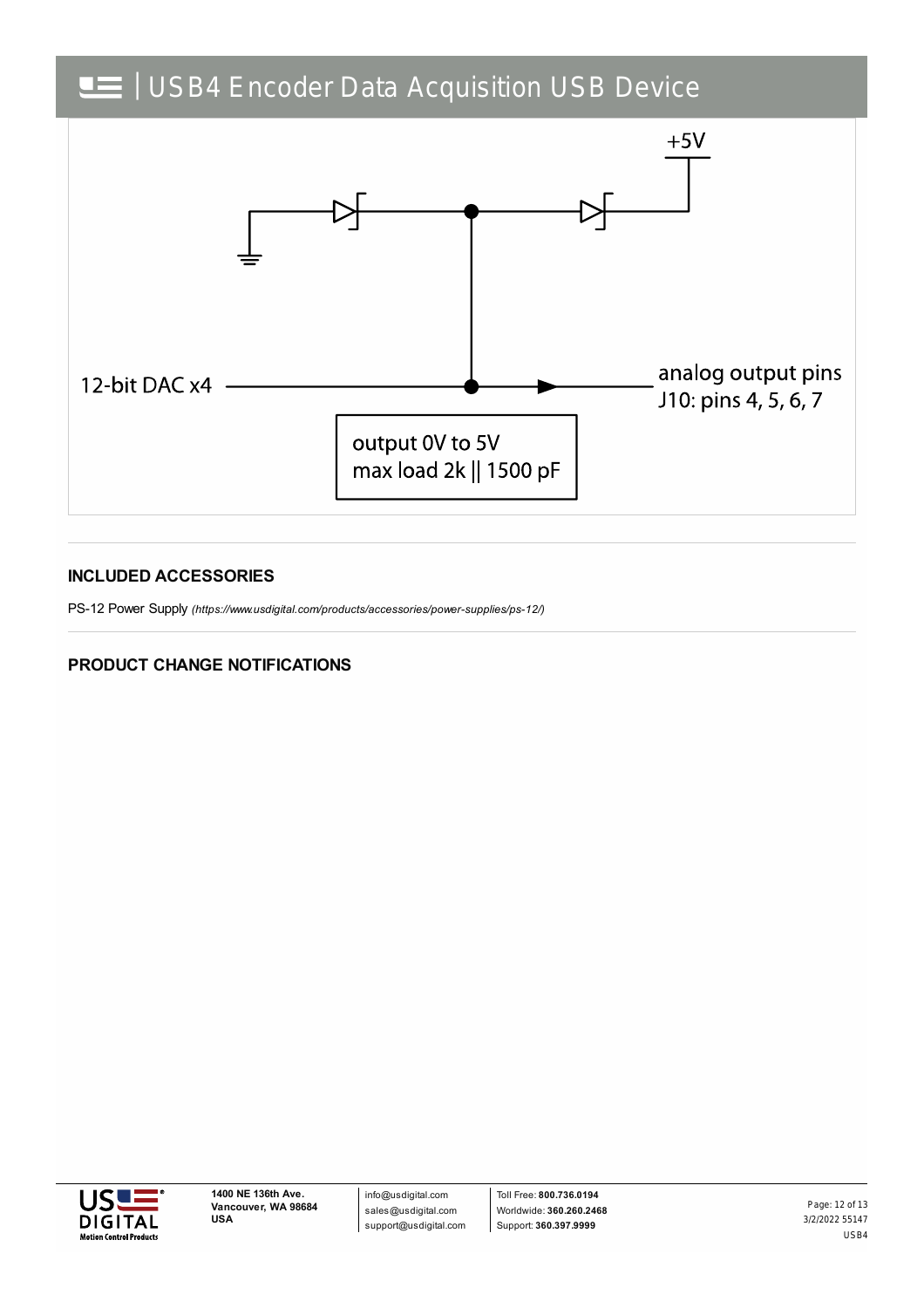

#### **INCLUDED ACCESSORIES**

PS-12 Power Supply *[\(https://www.usdigital.com/products/accessories/power-supplies/ps-12/\)](https://www.usdigital.com/products/accessories/power-supplies/ps-12/)*

### **PRODUCT CHANGE NOTIFICATIONS**



3/2/2022 55147 USB4 Page: 12 of 13